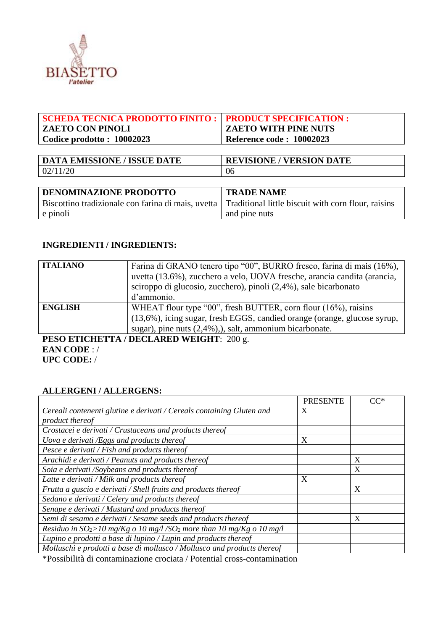

| SCHEDA TECNICA PRODOTTO FINITO :   PRODUCT SPECIFICATION : |                             |
|------------------------------------------------------------|-----------------------------|
| <b>ZAETO CON PINOLI</b>                                    | <b>ZAETO WITH PINE NUTS</b> |
| Codice prodotto: $10002023$                                | Reference code: 10002023    |
|                                                            |                             |

| <b>DATA EMISSIONE / ISSUE DATE</b> | <b>REVISIONE / VERSION DATE</b> |
|------------------------------------|---------------------------------|
| 11/20<br>02/                       | 06                              |

| <b>DENOMINAZIONE PRODOTTO</b>                                                                          | <b>TRADE NAME</b> |
|--------------------------------------------------------------------------------------------------------|-------------------|
| Biscottino tradizionale con farina di mais, uvetta Traditional little biscuit with corn flour, raisins |                   |
| e pinoli                                                                                               | and pine nuts     |

#### **INGREDIENTI / INGREDIENTS:**

| <b>ITALIANO</b> | Farina di GRANO tenero tipo "00", BURRO fresco, farina di mais (16%),<br>uvetta (13.6%), zucchero a velo, UOVA fresche, arancia candita (arancia,<br>sciroppo di glucosio, zucchero), pinoli (2,4%), sale bicarbonato<br>d'ammonio. |
|-----------------|-------------------------------------------------------------------------------------------------------------------------------------------------------------------------------------------------------------------------------------|
| <b>ENGLISH</b>  | WHEAT flour type "00", fresh BUTTER, corn flour (16%), raisins<br>(13,6%), icing sugar, fresh EGGS, candied orange (orange, glucose syrup,<br>sugar), pine nuts $(2,4\%)$ , salt, ammonium bicarbonate.                             |

**PESO ETICHETTA / DECLARED WEIGHT**: 200 g. **EAN CODE** : / **UPC CODE:** /

# **ALLERGENI / ALLERGENS:**

|                                                                                     | <b>PRESENTE</b> | $CC^*$ |
|-------------------------------------------------------------------------------------|-----------------|--------|
| Cereali contenenti glutine e derivati / Cereals containing Gluten and               | X               |        |
| product thereof                                                                     |                 |        |
| Crostacei e derivati / Crustaceans and products thereof                             |                 |        |
| Uova e derivati /Eggs and products thereof                                          | X               |        |
| Pesce e derivati / Fish and products thereof                                        |                 |        |
| Arachidi e derivati / Peanuts and products thereof                                  |                 | X      |
| Soia e derivati /Soybeans and products thereof                                      |                 | X      |
| Latte e derivati / Milk and products thereof                                        | X               |        |
| Frutta a guscio e derivati / Shell fruits and products thereof                      |                 | X      |
| Sedano e derivati / Celery and products thereof                                     |                 |        |
| Senape e derivati / Mustard and products thereof                                    |                 |        |
| Semi di sesamo e derivati / Sesame seeds and products thereof                       |                 | X      |
| Residuo in $SO_2$ >10 mg/Kg o 10 mg/l /SO <sub>2</sub> more than 10 mg/Kg o 10 mg/l |                 |        |
| Lupino e prodotti a base di lupino / Lupin and products thereof                     |                 |        |
| Molluschi e prodotti a base di mollusco / Mollusco and products thereof             |                 |        |

\*Possibilità di contaminazione crociata / Potential cross-contamination